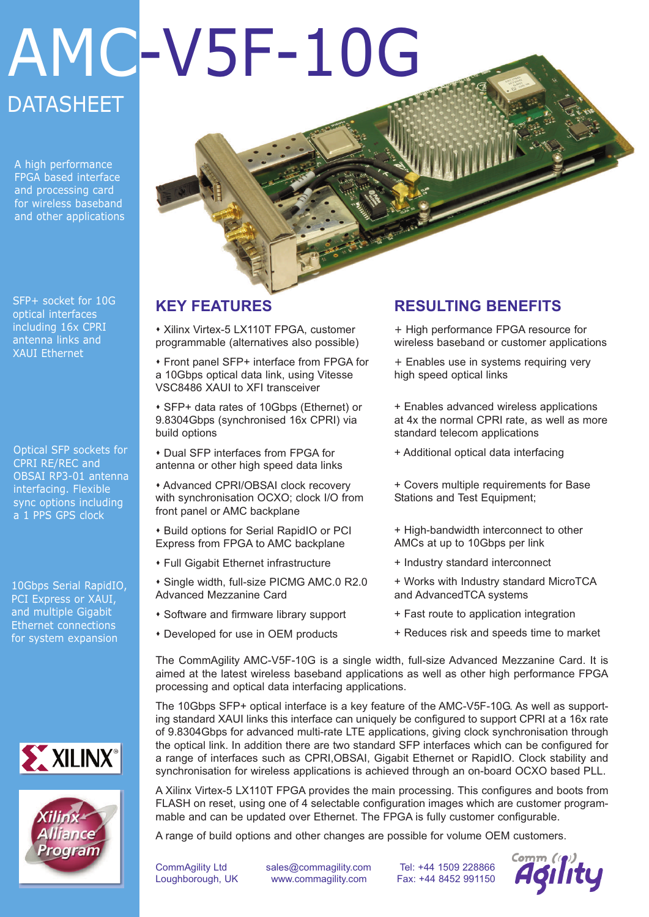# AMC-V5F-10G **DATASHEET**

A high performance FPGA based interface and processing card for wireless baseband and other applications

SFP+ socket for 10G optical interfaces including 16x CPRI antenna links and XAUI Ethernet

Optical SFP sockets for CPRI RE/REC and OBSAI RP3-01 antenna interfacing. Flexible sync options including a 1 PPS GPS clock

10Gbps Serial RapidIO, PCI Express or XAUI, and multiple Gigabit Ethernet connections for system expansion





## **KEY FEATURES**

\* Xilinx Virtex-5 LX110T FPGA, customer programmable (alternatives also possible)

s Front panel SFP+ interface from FPGA for a 10Gbps optical data link, using Vitesse VSC8486 XAUI to XFI transceiver

s SFP+ data rates of 10Gbps (Ethernet) or 9.8304Gbps (synchronised 16x CPRI) via build options

**\* Dual SFP interfaces from FPGA for** antenna or other high speed data links

\* Advanced CPRI/OBSAI clock recovery with synchronisation OCXO; clock I/O from front panel or AMC backplane

**\* Build options for Serial RapidIO or PCI** Express from FPGA to AMC backplane

- **\* Full Gigabit Ethernet infrastructure**
- \* Single width, full-size PICMG AMC.0 R2.0 Advanced Mezzanine Card
- \* Software and firmware library support
- \* Developed for use in OEM products

### **RESULTING BENEFITS**

+ High performance FPGA resource for wireless baseband or customer applications

+ Enables use in systems requiring very high speed optical links

+ Enables advanced wireless applications at 4x the normal CPRI rate, as well as more standard telecom applications

+ Additional optical data interfacing

+ Covers multiple requirements for Base Stations and Test Equipment;

- + High-bandwidth interconnect to other AMCs at up to 10Gbps per link
- + Industry standard interconnect
- + Works with Industry standard MicroTCA and AdvancedTCA systems
- + Fast route to application integration
- + Reduces risk and speeds time to market

The CommAgility AMC-V5F-10G is a single width, full-size Advanced Mezzanine Card. It is aimed at the latest wireless baseband applications as well as other high performance FPGA processing and optical data interfacing applications.

The 10Gbps SFP+ optical interface is a key feature of the AMC-V5F-10G. As well as supporting standard XAUI links this interface can uniquely be configured to support CPRI at a 16x rate of 9.8304Gbps for advanced multi-rate LTE applications, giving clock synchronisation through the optical link. In addition there are two standard SFP interfaces which can be configured for a range of interfaces such as CPRI,OBSAI, Gigabit Ethernet or RapidIO. Clock stability and synchronisation for wireless applications is achieved through an on-board OCXO based PLL.

A Xilinx Virtex-5 LX110T FPGA provides the main processing. This configures and boots from FLASH on reset, using one of 4 selectable configuration images which are customer programmable and can be updated over Ethernet. The FPGA is fully customer configurable.

A range of build options and other changes are possible for volume OEM customers.

CommAgility Ltd sales@commagility.com Tel: +44 1509 228866 Loughborough, UK www.commagility.com Fax: +44 8452 991150